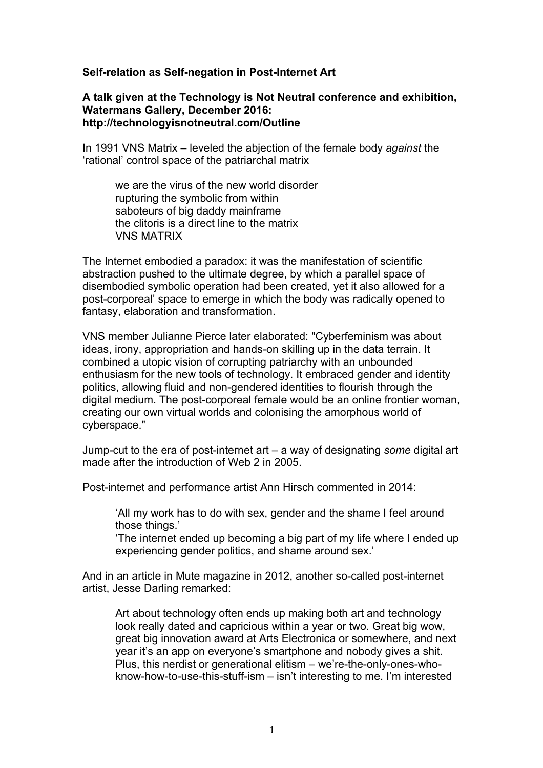## **Self-relation as Self-negation in Post-Internet Art**

**A talk given at the Technology is Not Neutral conference and exhibition, Watermans Gallery, December 2016: http://technologyisnotneutral.com/Outline**

In 1991 VNS Matrix – leveled the abjection of the female body *against* the 'rational' control space of the patriarchal matrix

we are the virus of the new world disorder rupturing the symbolic from within saboteurs of big daddy mainframe the clitoris is a direct line to the matrix VNS MATRIX

The Internet embodied a paradox: it was the manifestation of scientific abstraction pushed to the ultimate degree, by which a parallel space of disembodied symbolic operation had been created, yet it also allowed for a post-corporeal' space to emerge in which the body was radically opened to fantasy, elaboration and transformation.

VNS member Julianne Pierce later elaborated: "Cyberfeminism was about ideas, irony, appropriation and hands-on skilling up in the data terrain. It combined a utopic vision of corrupting patriarchy with an unbounded enthusiasm for the new tools of technology. It embraced gender and identity politics, allowing fluid and non-gendered identities to flourish through the digital medium. The post-corporeal female would be an online frontier woman, creating our own virtual worlds and colonising the amorphous world of cyberspace."

Jump-cut to the era of post-internet art – a way of designating *some* digital art made after the introduction of Web 2 in 2005.

Post-internet and performance artist Ann Hirsch commented in 2014:

'All my work has to do with sex, gender and the shame I feel around those things.'

'The internet ended up becoming a big part of my life where I ended up experiencing gender politics, and shame around sex.'

And in an article in Mute magazine in 2012, another so-called post-internet artist, Jesse Darling remarked:

Art about technology often ends up making both art and technology look really dated and capricious within a year or two. Great big wow, great big innovation award at Arts Electronica or somewhere, and next year it's an app on everyone's smartphone and nobody gives a shit. Plus, this nerdist or generational elitism – we're-the-only-ones-whoknow-how-to-use-this-stuff-ism – isn't interesting to me. I'm interested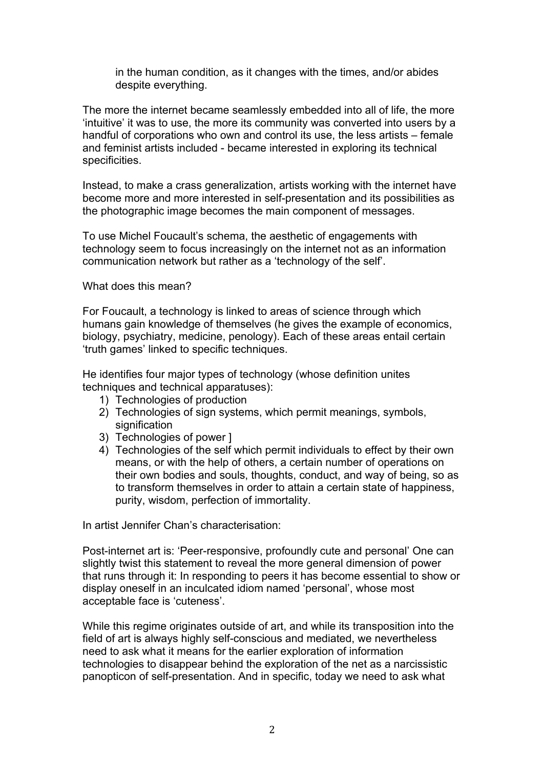in the human condition, as it changes with the times, and/or abides despite everything.

The more the internet became seamlessly embedded into all of life, the more 'intuitive' it was to use, the more its community was converted into users by a handful of corporations who own and control its use, the less artists – female and feminist artists included - became interested in exploring its technical specificities.

Instead, to make a crass generalization, artists working with the internet have become more and more interested in self-presentation and its possibilities as the photographic image becomes the main component of messages.

To use Michel Foucault's schema, the aesthetic of engagements with technology seem to focus increasingly on the internet not as an information communication network but rather as a 'technology of the self'.

What does this mean?

For Foucault, a technology is linked to areas of science through which humans gain knowledge of themselves (he gives the example of economics, biology, psychiatry, medicine, penology). Each of these areas entail certain 'truth games' linked to specific techniques.

He identifies four major types of technology (whose definition unites techniques and technical apparatuses):

- 1) Technologies of production
- 2) Technologies of sign systems, which permit meanings, symbols, signification
- 3) Technologies of power ]
- 4) Technologies of the self which permit individuals to effect by their own means, or with the help of others, a certain number of operations on their own bodies and souls, thoughts, conduct, and way of being, so as to transform themselves in order to attain a certain state of happiness, purity, wisdom, perfection of immortality.

In artist Jennifer Chan's characterisation:

Post-internet art is: 'Peer-responsive, profoundly cute and personal' One can slightly twist this statement to reveal the more general dimension of power that runs through it: In responding to peers it has become essential to show or display oneself in an inculcated idiom named 'personal', whose most acceptable face is 'cuteness'.

While this regime originates outside of art, and while its transposition into the field of art is always highly self-conscious and mediated, we nevertheless need to ask what it means for the earlier exploration of information technologies to disappear behind the exploration of the net as a narcissistic panopticon of self-presentation. And in specific, today we need to ask what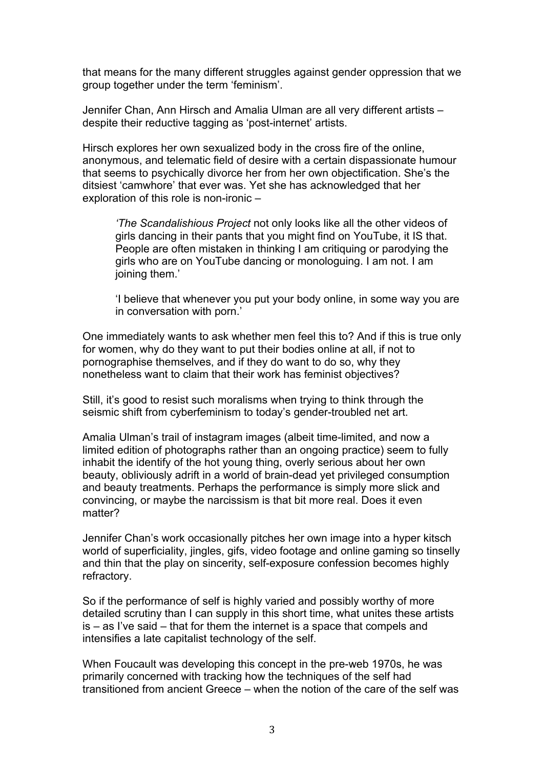that means for the many different struggles against gender oppression that we group together under the term 'feminism'.

Jennifer Chan, Ann Hirsch and Amalia Ulman are all very different artists – despite their reductive tagging as 'post-internet' artists.

Hirsch explores her own sexualized body in the cross fire of the online, anonymous, and telematic field of desire with a certain dispassionate humour that seems to psychically divorce her from her own objectification. She's the ditsiest 'camwhore' that ever was. Yet she has acknowledged that her exploration of this role is non-ironic –

*'The Scandalishious Project* not only looks like all the other videos of girls dancing in their pants that you might find on YouTube, it IS that. People are often mistaken in thinking I am critiquing or parodying the girls who are on YouTube dancing or monologuing. I am not. I am joining them.'

'I believe that whenever you put your body online, in some way you are in conversation with porn.'

One immediately wants to ask whether men feel this to? And if this is true only for women, why do they want to put their bodies online at all, if not to pornographise themselves, and if they do want to do so, why they nonetheless want to claim that their work has feminist objectives?

Still, it's good to resist such moralisms when trying to think through the seismic shift from cyberfeminism to today's gender-troubled net art.

Amalia Ulman's trail of instagram images (albeit time-limited, and now a limited edition of photographs rather than an ongoing practice) seem to fully inhabit the identify of the hot young thing, overly serious about her own beauty, obliviously adrift in a world of brain-dead yet privileged consumption and beauty treatments. Perhaps the performance is simply more slick and convincing, or maybe the narcissism is that bit more real. Does it even matter?

Jennifer Chan's work occasionally pitches her own image into a hyper kitsch world of superficiality, jingles, gifs, video footage and online gaming so tinselly and thin that the play on sincerity, self-exposure confession becomes highly refractory.

So if the performance of self is highly varied and possibly worthy of more detailed scrutiny than I can supply in this short time, what unites these artists is – as I've said – that for them the internet is a space that compels and intensifies a late capitalist technology of the self.

When Foucault was developing this concept in the pre-web 1970s, he was primarily concerned with tracking how the techniques of the self had transitioned from ancient Greece – when the notion of the care of the self was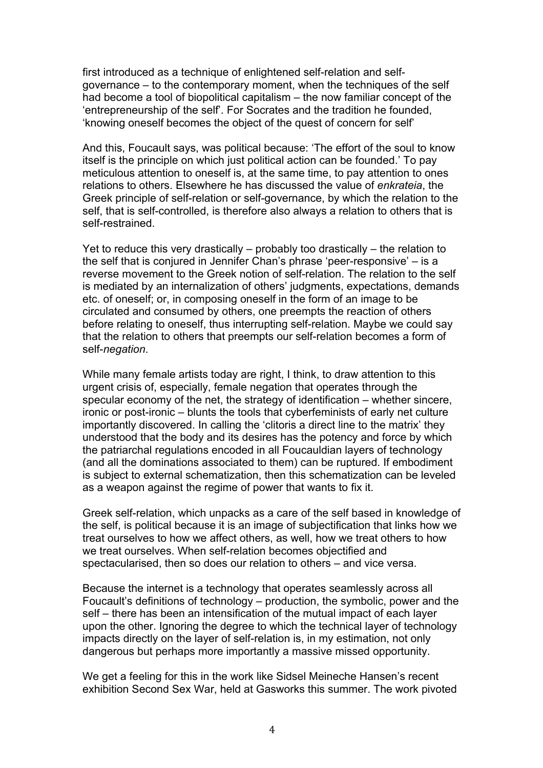first introduced as a technique of enlightened self-relation and selfgovernance – to the contemporary moment, when the techniques of the self had become a tool of biopolitical capitalism – the now familiar concept of the 'entrepreneurship of the self'. For Socrates and the tradition he founded, 'knowing oneself becomes the object of the quest of concern for self'

And this, Foucault says, was political because: 'The effort of the soul to know itself is the principle on which just political action can be founded.' To pay meticulous attention to oneself is, at the same time, to pay attention to ones relations to others. Elsewhere he has discussed the value of *enkrateia*, the Greek principle of self-relation or self-governance, by which the relation to the self, that is self-controlled, is therefore also always a relation to others that is self-restrained.

Yet to reduce this very drastically – probably too drastically – the relation to the self that is conjured in Jennifer Chan's phrase 'peer-responsive' – is a reverse movement to the Greek notion of self-relation. The relation to the self is mediated by an internalization of others' judgments, expectations, demands etc. of oneself; or, in composing oneself in the form of an image to be circulated and consumed by others, one preempts the reaction of others before relating to oneself, thus interrupting self-relation. Maybe we could say that the relation to others that preempts our self-relation becomes a form of self-*negation*.

While many female artists today are right, I think, to draw attention to this urgent crisis of, especially, female negation that operates through the specular economy of the net, the strategy of identification – whether sincere, ironic or post-ironic – blunts the tools that cyberfeminists of early net culture importantly discovered. In calling the 'clitoris a direct line to the matrix' they understood that the body and its desires has the potency and force by which the patriarchal regulations encoded in all Foucauldian layers of technology (and all the dominations associated to them) can be ruptured. If embodiment is subject to external schematization, then this schematization can be leveled as a weapon against the regime of power that wants to fix it.

Greek self-relation, which unpacks as a care of the self based in knowledge of the self, is political because it is an image of subjectification that links how we treat ourselves to how we affect others, as well, how we treat others to how we treat ourselves. When self-relation becomes objectified and spectacularised, then so does our relation to others – and vice versa.

Because the internet is a technology that operates seamlessly across all Foucault's definitions of technology – production, the symbolic, power and the self – there has been an intensification of the mutual impact of each layer upon the other. Ignoring the degree to which the technical layer of technology impacts directly on the layer of self-relation is, in my estimation, not only dangerous but perhaps more importantly a massive missed opportunity.

We get a feeling for this in the work like Sidsel Meineche Hansen's recent exhibition Second Sex War, held at Gasworks this summer. The work pivoted